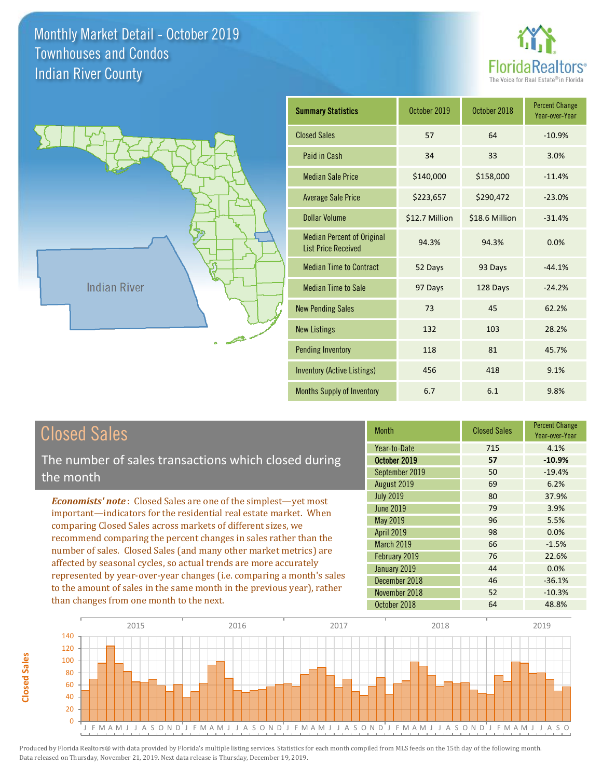



| <b>Summary Statistics</b>                                       | October 2019   | October 2018   | <b>Percent Change</b><br>Year-over-Year |
|-----------------------------------------------------------------|----------------|----------------|-----------------------------------------|
| <b>Closed Sales</b>                                             | 57             | 64             | $-10.9%$                                |
| Paid in Cash                                                    | 34             | 33             | 3.0%                                    |
| <b>Median Sale Price</b>                                        | \$140,000      | \$158,000      | $-11.4%$                                |
| <b>Average Sale Price</b>                                       | \$223,657      | \$290,472      | $-23.0%$                                |
| Dollar Volume                                                   | \$12.7 Million | \$18.6 Million | $-31.4%$                                |
| <b>Median Percent of Original</b><br><b>List Price Received</b> | 94.3%          | 94.3%          | 0.0%                                    |
| <b>Median Time to Contract</b>                                  | 52 Days        | 93 Days        | $-44.1%$                                |
| <b>Median Time to Sale</b>                                      | 97 Days        | 128 Days       | $-24.2%$                                |
| <b>New Pending Sales</b>                                        | 73             | 45             | 62.2%                                   |
| <b>New Listings</b>                                             | 132            | 103            | 28.2%                                   |
| <b>Pending Inventory</b>                                        | 118            | 81             | 45.7%                                   |
| <b>Inventory (Active Listings)</b>                              | 456            | 418            | 9.1%                                    |
| Months Supply of Inventory                                      | 6.7            | 6.1            | 9.8%                                    |

## Closed Sales

**Closed Sales**

**Closed Sales** 

The number of sales transactions which closed during the month

*Economists' note* : Closed Sales are one of the simplest—yet most important—indicators for the residential real estate market. When comparing Closed Sales across markets of different sizes, we recommend comparing the percent changes in sales rather than the number of sales. Closed Sales (and many other market metrics) are affected by seasonal cycles, so actual trends are more accurately represented by year-over-year changes (i.e. comparing a month's sales to the amount of sales in the same month in the previous year), rather than changes from one month to the next.

| <b>Month</b>      | <b>Closed Sales</b> | <b>Percent Change</b><br>Year-over-Year |
|-------------------|---------------------|-----------------------------------------|
| Year-to-Date      | 715                 | 4.1%                                    |
| October 2019      | 57                  | $-10.9%$                                |
| September 2019    | 50                  | $-19.4%$                                |
| August 2019       | 69                  | 6.2%                                    |
| <b>July 2019</b>  | 80                  | 37.9%                                   |
| <b>June 2019</b>  | 79                  | 3.9%                                    |
| <b>May 2019</b>   | 96                  | 5.5%                                    |
| <b>April 2019</b> | 98                  | 0.0%                                    |
| March 2019        | 66                  | $-1.5%$                                 |
| February 2019     | 76                  | 22.6%                                   |
| January 2019      | 44                  | 0.0%                                    |
| December 2018     | 46                  | $-36.1%$                                |
| November 2018     | 52                  | $-10.3%$                                |
| October 2018      | 64                  | 48.8%                                   |

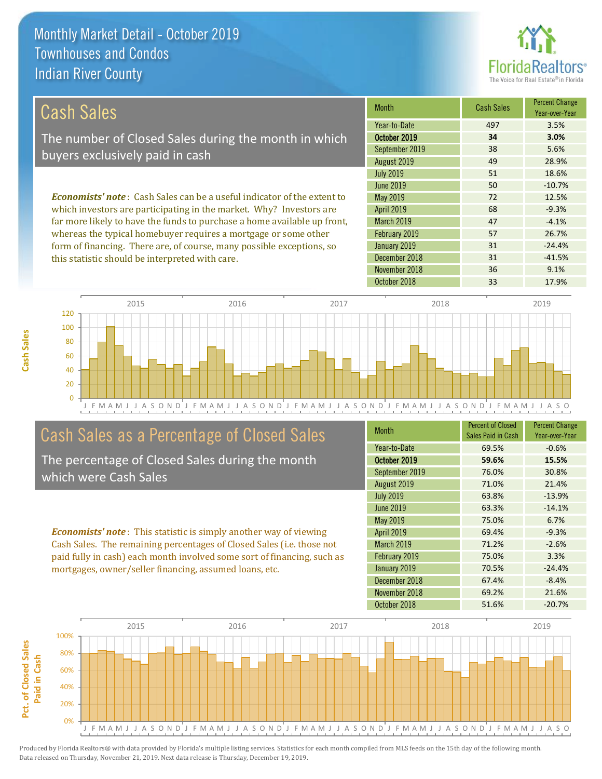this statistic should be interpreted with care.



31 -41.5%

| Cash Sales                                                                     | <b>Month</b>      | <b>Cash Sales</b> | <b>Percent Change</b><br>Year-over-Year |
|--------------------------------------------------------------------------------|-------------------|-------------------|-----------------------------------------|
|                                                                                | Year-to-Date      | 497               | 3.5%                                    |
| The number of Closed Sales during the month in which                           | October 2019      | 34                | 3.0%                                    |
| buyers exclusively paid in cash                                                | September 2019    | 38                | 5.6%                                    |
|                                                                                | August 2019       | 49                | 28.9%                                   |
|                                                                                | <b>July 2019</b>  | 51                | 18.6%                                   |
|                                                                                | June 2019         | 50                | $-10.7%$                                |
| <b>Economists' note:</b> Cash Sales can be a useful indicator of the extent to | May 2019          | 72                | 12.5%                                   |
| which investors are participating in the market. Why? Investors are            | <b>April 2019</b> | 68                | $-9.3%$                                 |
| far more likely to have the funds to purchase a home available up front,       | <b>March 2019</b> | 47                | $-4.1%$                                 |
| whereas the typical homebuyer requires a mortgage or some other                | February 2019     | 57                | 26.7%                                   |
| form of financing. There are, of course, many possible exceptions, so          | January 2019      | 31                | $-24.4%$                                |

October 2018 **33** 17.9% 0 20 40 60 80 100 120 2015 2016 2017 2018 2019

J F M A M J J A S O N D J F M A M J J A S O N D J F M A M J J A S O N D J F M A M J J A S O N D J F M A M J J A S O

December 2018

## Cash Sales as a Percentage of Closed Sales

The percentage of Closed Sales during the month which were Cash Sales

*Economists' note* : This statistic is simply another way of viewing Cash Sales. The remaining percentages of Closed Sales (i.e. those not paid fully in cash) each month involved some sort of financing, such as mortgages, owner/seller financing, assumed loans, etc.

| <b>Month</b>      | <b>Percent of Closed</b><br>Sales Paid in Cash | <b>Percent Change</b><br>Year-over-Year |
|-------------------|------------------------------------------------|-----------------------------------------|
| Year-to-Date      | 69.5%                                          | $-0.6%$                                 |
| October 2019      | 59.6%                                          | 15.5%                                   |
| September 2019    | 76.0%                                          | 30.8%                                   |
| August 2019       | 71.0%                                          | 21.4%                                   |
| <b>July 2019</b>  | 63.8%                                          | $-13.9%$                                |
| <b>June 2019</b>  | 63.3%                                          | $-14.1%$                                |
| May 2019          | 75.0%                                          | 6.7%                                    |
| <b>April 2019</b> | 69.4%                                          | $-9.3%$                                 |
| <b>March 2019</b> | 71.2%                                          | $-2.6%$                                 |
| February 2019     | 75.0%                                          | 3.3%                                    |
| January 2019      | 70.5%                                          | $-24.4%$                                |
| December 2018     | 67.4%                                          | $-8.4%$                                 |
| November 2018     | 69.2%                                          | 21.6%                                   |
| October 2018      | 51.6%                                          | $-20.7%$                                |

November 2018 136 36 9.1%

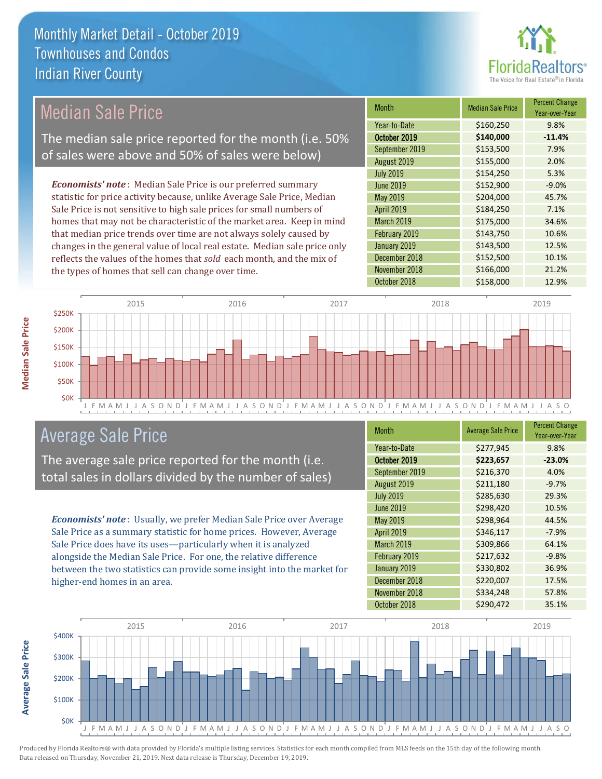

## Median Sale Price

The median sale price reported for the month (i.e. 50% of sales were above and 50% of sales were below)

*Economists' note* : Median Sale Price is our preferred summary statistic for price activity because, unlike Average Sale Price, Median Sale Price is not sensitive to high sale prices for small numbers of homes that may not be characteristic of the market area. Keep in mind that median price trends over time are not always solely caused by changes in the general value of local real estate. Median sale price only reflects the values of the homes that *sold* each month, and the mix of the types of homes that sell can change over time.

| <b>Month</b>      | <b>Median Sale Price</b> | <b>Percent Change</b><br>Year-over-Year |
|-------------------|--------------------------|-----------------------------------------|
| Year-to-Date      | \$160,250                | 9.8%                                    |
| October 2019      | \$140,000                | $-11.4%$                                |
| September 2019    | \$153,500                | 7.9%                                    |
| August 2019       | \$155,000                | 2.0%                                    |
| <b>July 2019</b>  | \$154,250                | 5.3%                                    |
| <b>June 2019</b>  | \$152,900                | $-9.0%$                                 |
| May 2019          | \$204,000                | 45.7%                                   |
| <b>April 2019</b> | \$184,250                | 7.1%                                    |
| March 2019        | \$175,000                | 34.6%                                   |
| February 2019     | \$143,750                | 10.6%                                   |
| January 2019      | \$143,500                | 12.5%                                   |
| December 2018     | \$152,500                | 10.1%                                   |
| November 2018     | \$166,000                | 21.2%                                   |
| October 2018      | \$158,000                | 12.9%                                   |



#### Average Sale Price

The average sale price reported for the month (i.e. total sales in dollars divided by the number of sales)

*Economists' note* : Usually, we prefer Median Sale Price over Average Sale Price as a summary statistic for home prices. However, Average Sale Price does have its uses—particularly when it is analyzed alongside the Median Sale Price. For one, the relative difference between the two statistics can provide some insight into the market for higher-end homes in an area.

| Month            | <b>Average Sale Price</b> | <b>Percent Change</b><br>Year-over-Year |
|------------------|---------------------------|-----------------------------------------|
| Year-to-Date     | \$277,945                 | 9.8%                                    |
| October 2019     | \$223,657                 | $-23.0%$                                |
| September 2019   | \$216,370                 | 4.0%                                    |
| August 2019      | \$211,180                 | $-9.7%$                                 |
| <b>July 2019</b> | \$285,630                 | 29.3%                                   |
| <b>June 2019</b> | \$298,420                 | 10.5%                                   |
| May 2019         | \$298,964                 | 44.5%                                   |
| April 2019       | \$346,117                 | $-7.9%$                                 |
| March 2019       | \$309,866                 | 64.1%                                   |
| February 2019    | \$217,632                 | $-9.8%$                                 |
| January 2019     | \$330,802                 | 36.9%                                   |
| December 2018    | \$220,007                 | 17.5%                                   |
| November 2018    | \$334,248                 | 57.8%                                   |
| October 2018     | \$290,472                 | 35.1%                                   |



Produced by Florida Realtors® with data provided by Florida's multiple listing services. Statistics for each month compiled from MLS feeds on the 15th day of the following month. Data released on Thursday, November 21, 2019. Next data release is Thursday, December 19, 2019.

**Average Sale Price**

Average Sale Price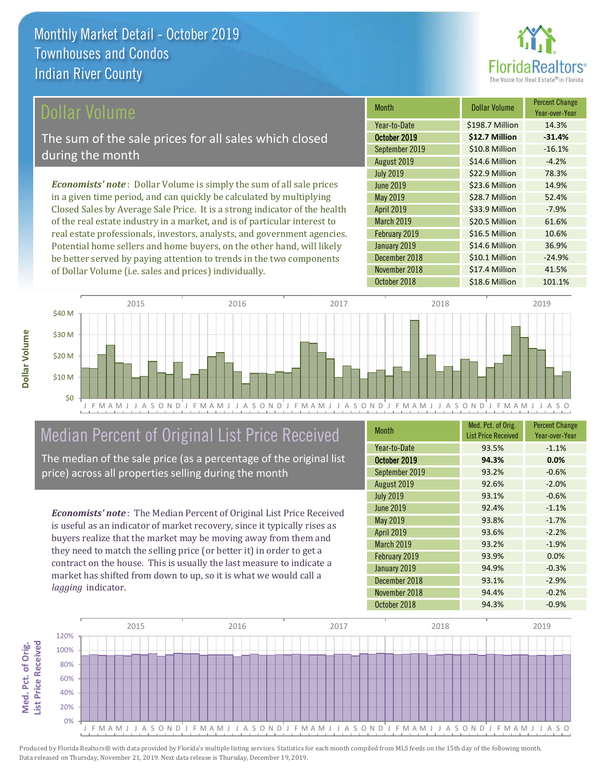

#### ollar Volume

The sum of the sale prices for all sales which closed during the month

*Economists' note* : Dollar Volume is simply the sum of all sale prices in a given time period, and can quickly be calculated by multiplying Closed Sales by Average Sale Price. It is a strong indicator of the health of the real estate industry in a market, and is of particular interest to real estate professionals, investors, analysts, and government agencies. Potential home sellers and home buyers, on the other hand, will likely be better served by paying attention to trends in the two components of Dollar Volume (i.e. sales and prices) individually.

| <b>Month</b>      | <b>Dollar Volume</b> | <b>Percent Change</b><br>Year-over-Year |
|-------------------|----------------------|-----------------------------------------|
| Year-to-Date      | \$198.7 Million      | 14.3%                                   |
| October 2019      | \$12.7 Million       | $-31.4%$                                |
| September 2019    | \$10.8 Million       | $-16.1%$                                |
| August 2019       | \$14.6 Million       | $-4.2%$                                 |
| <b>July 2019</b>  | \$22.9 Million       | 78.3%                                   |
| June 2019         | \$23.6 Million       | 14.9%                                   |
| <b>May 2019</b>   | \$28.7 Million       | 52.4%                                   |
| <b>April 2019</b> | \$33.9 Million       | $-7.9%$                                 |
| March 2019        | \$20.5 Million       | 61.6%                                   |
| February 2019     | \$16.5 Million       | 10.6%                                   |
| January 2019      | \$14.6 Million       | 36.9%                                   |
| December 2018     | \$10.1 Million       | $-24.9%$                                |
| November 2018     | \$17.4 Million       | 41.5%                                   |
| October 2018      | \$18.6 Million       | 101.1%                                  |



## Median Percent of Original List Price Received

The median of the sale price (as a percentage of the original list price) across all properties selling during the month

*Economists' note* : The Median Percent of Original List Price Received is useful as an indicator of market recovery, since it typically rises as buyers realize that the market may be moving away from them and they need to match the selling price (or better it) in order to get a contract on the house. This is usually the last measure to indicate a market has shifted from down to up, so it is what we would call a *lagging* indicator.

| <b>Month</b>     | Med. Pct. of Orig.<br><b>List Price Received</b> | <b>Percent Change</b><br>Year-over-Year |
|------------------|--------------------------------------------------|-----------------------------------------|
| Year-to-Date     | 93.5%                                            | $-1.1%$                                 |
| October 2019     | 94.3%                                            | 0.0%                                    |
| September 2019   | 93.2%                                            | $-0.6%$                                 |
| August 2019      | 92.6%                                            | $-2.0%$                                 |
| <b>July 2019</b> | 93.1%                                            | $-0.6%$                                 |
| June 2019        | 92.4%                                            | $-1.1%$                                 |
| <b>May 2019</b>  | 93.8%                                            | $-1.7%$                                 |
| April 2019       | 93.6%                                            | $-2.2%$                                 |
| March 2019       | 93.2%                                            | $-1.9%$                                 |
| February 2019    | 93.9%                                            | 0.0%                                    |
| January 2019     | 94.9%                                            | $-0.3%$                                 |
| December 2018    | 93.1%                                            | $-2.9%$                                 |
| November 2018    | 94.4%                                            | $-0.2%$                                 |
| October 2018     | 94.3%                                            | $-0.9%$                                 |

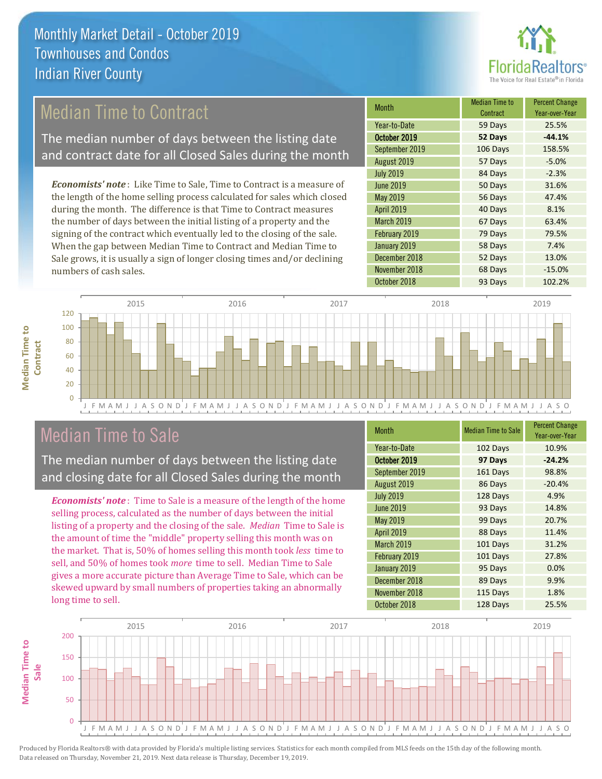

## Median Time to Contract

The median number of days between the listing date and contract date for all Closed Sales during the month

*Economists' note* : Like Time to Sale, Time to Contract is a measure of the length of the home selling process calculated for sales which closed during the month. The difference is that Time to Contract measures the number of days between the initial listing of a property and the signing of the contract which eventually led to the closing of the sale. When the gap between Median Time to Contract and Median Time to Sale grows, it is usually a sign of longer closing times and/or declining numbers of cash sales.

| <b>Month</b>      | <b>Median Time to</b><br>Contract | <b>Percent Change</b><br>Year-over-Year |
|-------------------|-----------------------------------|-----------------------------------------|
| Year-to-Date      | 59 Days                           | 25.5%                                   |
| October 2019      | 52 Days                           | $-44.1%$                                |
| September 2019    | 106 Days                          | 158.5%                                  |
| August 2019       | 57 Days                           | $-5.0%$                                 |
| <b>July 2019</b>  | 84 Days                           | $-2.3%$                                 |
| <b>June 2019</b>  | 50 Days                           | 31.6%                                   |
| May 2019          | 56 Days                           | 47.4%                                   |
| <b>April 2019</b> | 40 Days                           | 8.1%                                    |
| March 2019        | 67 Days                           | 63.4%                                   |
| February 2019     | 79 Days                           | 79.5%                                   |
| January 2019      | 58 Days                           | 7.4%                                    |
| December 2018     | 52 Days                           | 13.0%                                   |
| November 2018     | 68 Days                           | $-15.0%$                                |
| October 2018      | 93 Days                           | 102.2%                                  |



### Median Time to Sale

**Median Time to Contract**

**Median Time to** 

The median number of days between the listing date and closing date for all Closed Sales during the month

*Economists' note* : Time to Sale is a measure of the length of the home selling process, calculated as the number of days between the initial listing of a property and the closing of the sale. *Median* Time to Sale is the amount of time the "middle" property selling this month was on the market. That is, 50% of homes selling this month took *less* time to sell, and 50% of homes took *more* time to sell. Median Time to Sale gives a more accurate picture than Average Time to Sale, which can be skewed upward by small numbers of properties taking an abnormally long time to sell.

| <b>Month</b>      | <b>Median Time to Sale</b> | <b>Percent Change</b><br>Year-over-Year |
|-------------------|----------------------------|-----------------------------------------|
| Year-to-Date      | 102 Days                   | 10.9%                                   |
| October 2019      | 97 Days                    | $-24.2%$                                |
| September 2019    | 161 Days                   | 98.8%                                   |
| August 2019       | 86 Days                    | $-20.4%$                                |
| <b>July 2019</b>  | 128 Days                   | 4.9%                                    |
| <b>June 2019</b>  | 93 Days                    | 14.8%                                   |
| May 2019          | 99 Days                    | 20.7%                                   |
| <b>April 2019</b> | 88 Days                    | 11.4%                                   |
| March 2019        | 101 Days                   | 31.2%                                   |
| February 2019     | 101 Days                   | 27.8%                                   |
| January 2019      | 95 Days                    | 0.0%                                    |
| December 2018     | 89 Days                    | 9.9%                                    |
| November 2018     | 115 Days                   | 1.8%                                    |
| October 2018      | 128 Days                   | 25.5%                                   |

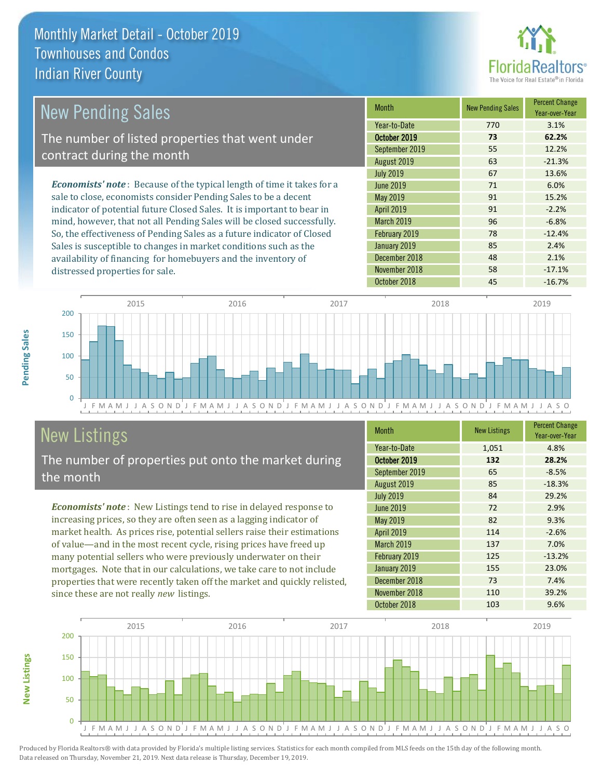

| New Pending Sales                                                              | <b>Month</b>      | <b>New Pending Sales</b> | <b>Percent Change</b><br>Year-over-Year |
|--------------------------------------------------------------------------------|-------------------|--------------------------|-----------------------------------------|
|                                                                                | Year-to-Date      | 770                      | 3.1%                                    |
| The number of listed properties that went under                                | October 2019      | 73                       | 62.2%                                   |
| contract during the month                                                      | September 2019    | 55                       | 12.2%                                   |
|                                                                                | August 2019       | 63                       | $-21.3%$                                |
|                                                                                | <b>July 2019</b>  | 67                       | 13.6%                                   |
| <b>Economists' note</b> : Because of the typical length of time it takes for a | June 2019         | 71                       | 6.0%                                    |
| sale to close, economists consider Pending Sales to be a decent                | May 2019          | 91                       | 15.2%                                   |
| indicator of potential future Closed Sales. It is important to bear in         | <b>April 2019</b> | 91                       | $-2.2%$                                 |
| mind, however, that not all Pending Sales will be closed successfully.         | <b>March 2019</b> | 96                       | $-6.8%$                                 |
| So, the effectiveness of Pending Sales as a future indicator of Closed         | February 2019     | 78                       | $-12.4%$                                |
| Sales is susceptible to changes in market conditions such as the               | January 2019      | 85                       | 2.4%                                    |



## New Listings

distressed properties for sale.

The number of properties put onto the market during the month

availability of financing for homebuyers and the inventory of

*Economists' note* : New Listings tend to rise in delayed response to increasing prices, so they are often seen as a lagging indicator of market health. As prices rise, potential sellers raise their estimations of value—and in the most recent cycle, rising prices have freed up many potential sellers who were previously underwater on their mortgages. Note that in our calculations, we take care to not include properties that were recently taken off the market and quickly relisted, since these are not really *new* listings.

| <b>Month</b>      | <b>New Listings</b> | <b>Percent Change</b><br>Year-over-Year |
|-------------------|---------------------|-----------------------------------------|
| Year-to-Date      | 1,051               | 4.8%                                    |
| October 2019      | 132                 | 28.2%                                   |
| September 2019    | 65                  | $-8.5%$                                 |
| August 2019       | 85                  | $-18.3%$                                |
| <b>July 2019</b>  | 84                  | 29.2%                                   |
| <b>June 2019</b>  | 72                  | 2.9%                                    |
| May 2019          | 82                  | 9.3%                                    |
| April 2019        | 114                 | $-2.6%$                                 |
| <b>March 2019</b> | 137                 | 7.0%                                    |
| February 2019     | 125                 | $-13.2%$                                |
| January 2019      | 155                 | 23.0%                                   |
| December 2018     | 73                  | 7.4%                                    |
| November 2018     | 110                 | 39.2%                                   |
| October 2018      | 103                 | 9.6%                                    |

December 2018 **48** 2.1% November 2018 **58** -17.1%



Produced by Florida Realtors® with data provided by Florida's multiple listing services. Statistics for each month compiled from MLS feeds on the 15th day of the following month. Data released on Thursday, November 21, 2019. Next data release is Thursday, December 19, 2019.

**New Listings**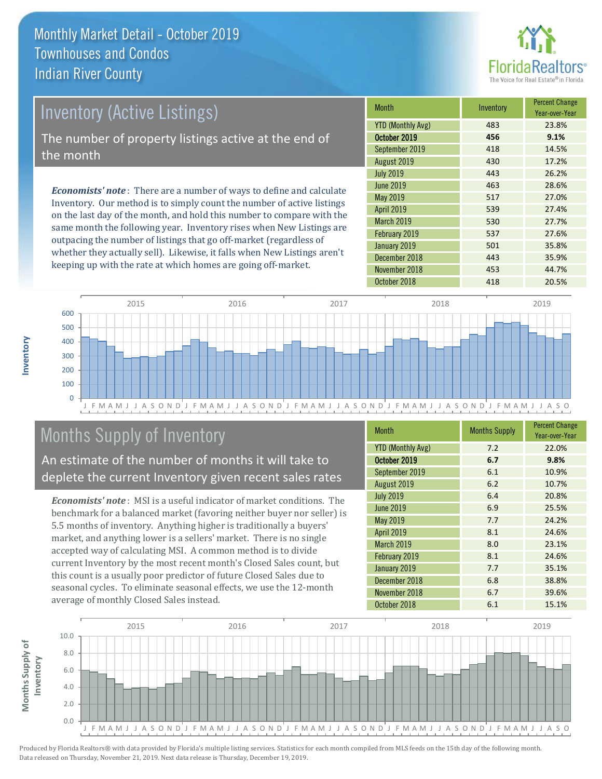

## *Economists' note* : There are a number of ways to define and calculate Inventory. Our method is to simply count the number of active listings Inventory (Active Listings) The number of property listings active at the end of the month

on the last day of the month, and hold this number to compare with the same month the following year. Inventory rises when New Listings are outpacing the number of listings that go off-market (regardless of whether they actually sell). Likewise, it falls when New Listings aren't keeping up with the rate at which homes are going off-market.

| <b>Month</b>             | Inventory | <b>Percent Change</b><br>Year-over-Year |
|--------------------------|-----------|-----------------------------------------|
| <b>YTD (Monthly Avg)</b> | 483       | 23.8%                                   |
| October 2019             | 456       | 9.1%                                    |
| September 2019           | 418       | 14.5%                                   |
| August 2019              | 430       | 17.2%                                   |
| <b>July 2019</b>         | 443       | 26.2%                                   |
| June 2019                | 463       | 28.6%                                   |
| May 2019                 | 517       | 27.0%                                   |
| <b>April 2019</b>        | 539       | 27.4%                                   |
| March 2019               | 530       | 27.7%                                   |
| February 2019            | 537       | 27.6%                                   |
| January 2019             | 501       | 35.8%                                   |
| December 2018            | 443       | 35.9%                                   |
| November 2018            | 453       | 44.7%                                   |
| October 2018             | 418       | 20.5%                                   |



## Months Supply of Inventory

An estimate of the number of months it will take to deplete the current Inventory given recent sales rates

*Economists' note* : MSI is a useful indicator of market conditions. The benchmark for a balanced market (favoring neither buyer nor seller) is 5.5 months of inventory. Anything higher is traditionally a buyers' market, and anything lower is a sellers' market. There is no single accepted way of calculating MSI. A common method is to divide current Inventory by the most recent month's Closed Sales count, but this count is a usually poor predictor of future Closed Sales due to seasonal cycles. To eliminate seasonal effects, we use the 12-month average of monthly Closed Sales instead.

| <b>Month</b>             | <b>Months Supply</b> | <b>Percent Change</b><br>Year-over-Year |
|--------------------------|----------------------|-----------------------------------------|
| <b>YTD (Monthly Avg)</b> | 7.2                  | 22.0%                                   |
| October 2019             | 6.7                  | 9.8%                                    |
| September 2019           | 6.1                  | 10.9%                                   |
| August 2019              | 6.2                  | 10.7%                                   |
| <b>July 2019</b>         | 6.4                  | 20.8%                                   |
| <b>June 2019</b>         | 6.9                  | 25.5%                                   |
| <b>May 2019</b>          | 7.7                  | 24.2%                                   |
| <b>April 2019</b>        | 8.1                  | 24.6%                                   |
| <b>March 2019</b>        | 8.0                  | 23.1%                                   |
| February 2019            | 8.1                  | 24.6%                                   |
| January 2019             | 7.7                  | 35.1%                                   |
| December 2018            | 6.8                  | 38.8%                                   |
| November 2018            | 6.7                  | 39.6%                                   |
| October 2018             | 6.1                  | 15.1%                                   |

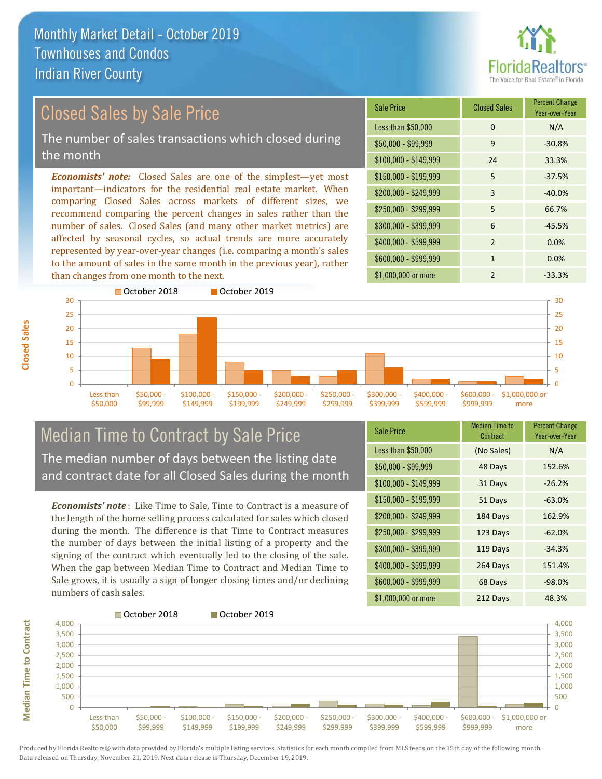

Year-over-Year

#### *Economists' note:* Closed Sales are one of the simplest—yet most important—indicators for the residential real estate market. When comparing Closed Sales across markets of different sizes, we recommend comparing the percent changes in sales rather than the number of sales. Closed Sales (and many other market metrics) are \$250,000 - \$299,999 5 66.7% \$300,000 - \$399,999 6 -45.5% \$150,000 - \$199,999 5 -37.5% \$200,000 - \$249,999 3 -40.0% \$100,000 - \$149,999 24 33.3% Sale Price Closed Sales Percent Change Less than \$50,000 0 0 N/A  $$50.000 - $99.999$  9 -30.8% Closed Sales by Sale Price The number of sales transactions which closed during the month

affected by seasonal cycles, so actual trends are more accurately represented by year-over-year changes (i.e. comparing a month's sales to the amount of sales in the same month in the previous year), rather than changes from one month to the next.



#### Median Time to Contract by Sale Price The median number of days between the listing date and contract date for all Closed Sales during the month

*Economists' note* : Like Time to Sale, Time to Contract is a measure of the length of the home selling process calculated for sales which closed during the month. The difference is that Time to Contract measures the number of days between the initial listing of a property and the signing of the contract which eventually led to the closing of the sale. When the gap between Median Time to Contract and Median Time to Sale grows, it is usually a sign of longer closing times and/or declining numbers of cash sales.

| <b>Sale Price</b>     | <b>Median Time to</b><br>Contract | <b>Percent Change</b><br>Year-over-Year |
|-----------------------|-----------------------------------|-----------------------------------------|
| Less than \$50,000    | (No Sales)                        | N/A                                     |
| $$50,000 - $99,999$   | 48 Days                           | 152.6%                                  |
| $$100,000 - $149,999$ | 31 Days                           | $-26.2%$                                |
| $$150,000 - $199,999$ | 51 Days                           | $-63.0%$                                |
| \$200,000 - \$249,999 | 184 Days                          | 162.9%                                  |
| \$250,000 - \$299,999 | 123 Days                          | $-62.0%$                                |
| \$300,000 - \$399,999 | 119 Days                          | $-34.3%$                                |
| \$400,000 - \$599,999 | 264 Days                          | 151.4%                                  |
| \$600,000 - \$999,999 | 68 Days                           | $-98.0%$                                |
| \$1,000,000 or more   | 212 Days                          | 48.3%                                   |

\$400,000 - \$599,999 2 0.0% \$600,000 - \$999,999 1 0.0%

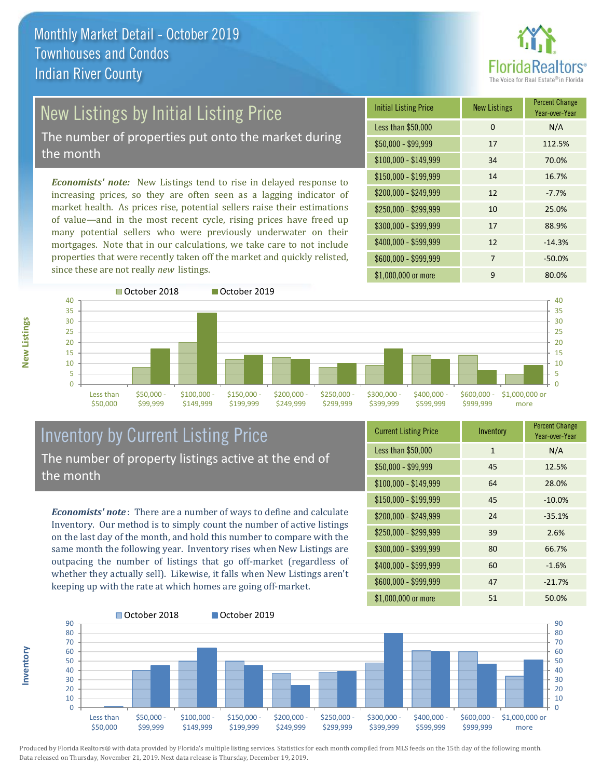

# New Listings by Initial Listing Price

The number of properties put onto the market during the month

*Economists' note:* New Listings tend to rise in delayed response to increasing prices, so they are often seen as a lagging indicator of market health. As prices rise, potential sellers raise their estimations of value—and in the most recent cycle, rising prices have freed up many potential sellers who were previously underwater on their mortgages. Note that in our calculations, we take care to not include properties that were recently taken off the market and quickly relisted, since these are not really *new* listings.

| <b>Initial Listing Price</b> | <b>New Listings</b> | <b>Percent Change</b><br>Year-over-Year |
|------------------------------|---------------------|-----------------------------------------|
| Less than \$50,000           | 0                   | N/A                                     |
| $$50,000 - $99,999$          | 17                  | 112.5%                                  |
| $$100,000 - $149,999$        | 34                  | 70.0%                                   |
| $$150,000 - $199,999$        | 14                  | 16.7%                                   |
| \$200,000 - \$249,999        | 12                  | $-7.7%$                                 |
| \$250,000 - \$299,999        | 10                  | 25.0%                                   |
| \$300,000 - \$399,999        | 17                  | 88.9%                                   |
| \$400,000 - \$599,999        | 12                  | $-14.3%$                                |
| \$600,000 - \$999,999        | 7                   | $-50.0%$                                |
| \$1,000,000 or more          | 9                   | 80.0%                                   |



#### Inventory by Current Listing Price The number of property listings active at the end of the month

*Economists' note* : There are a number of ways to define and calculate Inventory. Our method is to simply count the number of active listings on the last day of the month, and hold this number to compare with the same month the following year. Inventory rises when New Listings are outpacing the number of listings that go off-market (regardless of whether they actually sell). Likewise, it falls when New Listings aren't keeping up with the rate at which homes are going off-market.

| <b>Current Listing Price</b> | Inventory    | <b>Percent Change</b><br>Year-over-Year |
|------------------------------|--------------|-----------------------------------------|
| Less than \$50,000           | $\mathbf{1}$ | N/A                                     |
| $$50,000 - $99,999$          | 45           | 12.5%                                   |
| $$100,000 - $149,999$        | 64           | 28.0%                                   |
| $$150,000 - $199,999$        | 45           | $-10.0%$                                |
| \$200,000 - \$249,999        | 24           | $-35.1%$                                |
| \$250,000 - \$299,999        | 39           | 2.6%                                    |
| \$300,000 - \$399,999        | 80           | 66.7%                                   |
| \$400,000 - \$599,999        | 60           | $-1.6%$                                 |
| \$600,000 - \$999,999        | 47           | $-21.7%$                                |
| \$1,000,000 or more          | 51           | 50.0%                                   |



Produced by Florida Realtors® with data provided by Florida's multiple listing services. Statistics for each month compiled from MLS feeds on the 15th day of the following month. Data released on Thursday, November 21, 2019. Next data release is Thursday, December 19, 2019.

**Inventory**